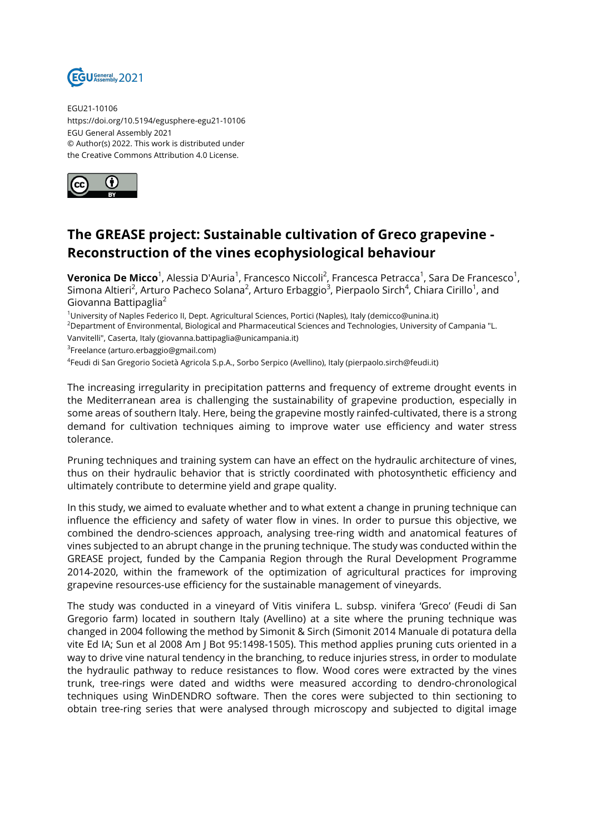

EGU21-10106 https://doi.org/10.5194/egusphere-egu21-10106 EGU General Assembly 2021 © Author(s) 2022. This work is distributed under the Creative Commons Attribution 4.0 License.



## **The GREASE project: Sustainable cultivation of Greco grapevine - Reconstruction of the vines ecophysiological behaviour**

**Veronica De Micco**<sup>1</sup>, Alessia D'Auria<sup>1</sup>, Francesco Niccoli<sup>2</sup>, Francesca Petracca<sup>1</sup>, Sara De Francesco<sup>1</sup>, Simona Altieri<sup>2</sup>, Arturo Pacheco Solana<sup>2</sup>, Arturo Erbaggio<sup>3</sup>, Pierpaolo Sirch<sup>4</sup>, Chiara Cirillo<sup>1</sup>, and Giovanna Battipaglia<sup>2</sup>

<sup>1</sup>University of Naples Federico II, Dept. Agricultural Sciences, Portici (Naples), Italy (demicco@unina.it)

<sup>2</sup>Department of Environmental, Biological and Pharmaceutical Sciences and Technologies, University of Campania "L.

Vanvitelli", Caserta, Italy (giovanna.battipaglia@unicampania.it)

<sup>3</sup>Freelance (arturo.erbaggio@gmail.com)

4 Feudi di San Gregorio Società Agricola S.p.A., Sorbo Serpico (Avellino), Italy (pierpaolo.sirch@feudi.it)

The increasing irregularity in precipitation patterns and frequency of extreme drought events in the Mediterranean area is challenging the sustainability of grapevine production, especially in some areas of southern Italy. Here, being the grapevine mostly rainfed-cultivated, there is a strong demand for cultivation techniques aiming to improve water use efficiency and water stress tolerance.

Pruning techniques and training system can have an effect on the hydraulic architecture of vines, thus on their hydraulic behavior that is strictly coordinated with photosynthetic efficiency and ultimately contribute to determine yield and grape quality.

In this study, we aimed to evaluate whether and to what extent a change in pruning technique can influence the efficiency and safety of water flow in vines. In order to pursue this objective, we combined the dendro-sciences approach, analysing tree-ring width and anatomical features of vines subjected to an abrupt change in the pruning technique. The study was conducted within the GREASE project, funded by the Campania Region through the Rural Development Programme 2014-2020, within the framework of the optimization of agricultural practices for improving grapevine resources-use efficiency for the sustainable management of vineyards.

The study was conducted in a vineyard of Vitis vinifera L. subsp. vinifera 'Greco' (Feudi di San Gregorio farm) located in southern Italy (Avellino) at a site where the pruning technique was changed in 2004 following the method by Simonit & Sirch (Simonit 2014 Manuale di potatura della vite Ed IA; Sun et al 2008 Am J Bot 95:1498-1505). This method applies pruning cuts oriented in a way to drive vine natural tendency in the branching, to reduce injuries stress, in order to modulate the hydraulic pathway to reduce resistances to flow. Wood cores were extracted by the vines trunk, tree-rings were dated and widths were measured according to dendro-chronological techniques using WinDENDRO software. Then the cores were subjected to thin sectioning to obtain tree-ring series that were analysed through microscopy and subjected to digital image